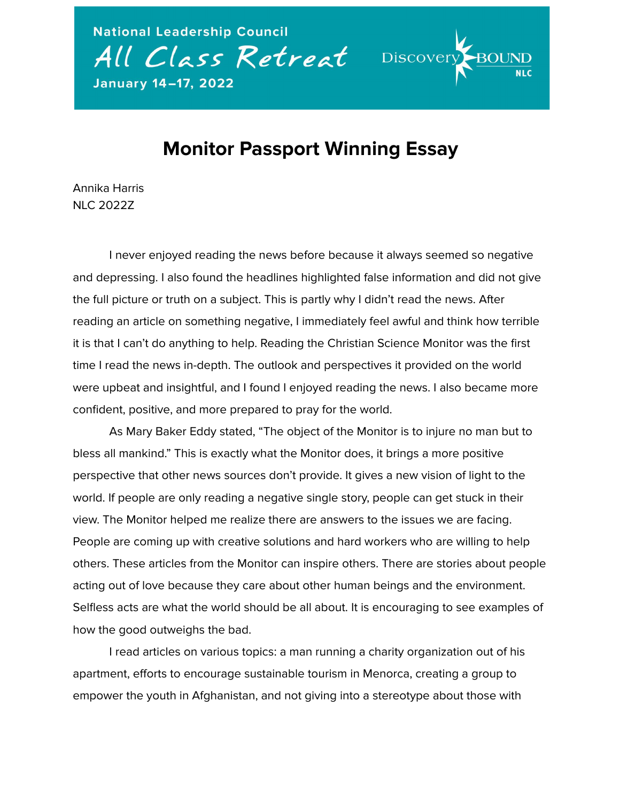

## **Discover**

## **Monitor Passport Winning Essay**

Annika Harris NLC 2022Z

I never enjoyed reading the news before because it always seemed so negative and depressing. I also found the headlines highlighted false information and did not give the full picture or truth on a subject. This is partly why I didn't read the news. After reading an article on something negative, I immediately feel awful and think how terrible it is that I can't do anything to help. Reading the Christian Science Monitor was the first time I read the news in-depth. The outlook and perspectives it provided on the world were upbeat and insightful, and I found I enjoyed reading the news. I also became more confident, positive, and more prepared to pray for the world.

As Mary Baker Eddy stated, "The object of the Monitor is to injure no man but to bless all mankind." This is exactly what the Monitor does, it brings a more positive perspective that other news sources don't provide. It gives a new vision of light to the world. If people are only reading a negative single story, people can get stuck in their view. The Monitor helped me realize there are answers to the issues we are facing. People are coming up with creative solutions and hard workers who are willing to help others. These articles from the Monitor can inspire others. There are stories about people acting out of love because they care about other human beings and the environment. Selfless acts are what the world should be all about. It is encouraging to see examples of how the good outweighs the bad.

I read articles on various topics: a man running a charity organization out of his apartment, efforts to encourage sustainable tourism in Menorca, creating a group to empower the youth in Afghanistan, and not giving into a stereotype about those with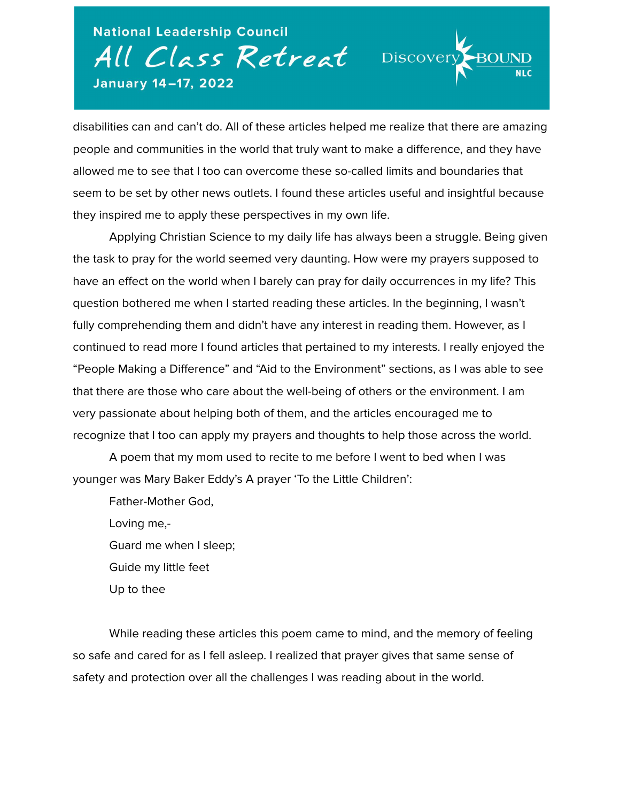**National Leadership Council** All Class Retreat Discover January 14-17, 2022

disabilities can and can't do. All of these articles helped me realize that there are amazing people and communities in the world that truly want to make a difference, and they have allowed me to see that I too can overcome these so-called limits and boundaries that seem to be set by other news outlets. I found these articles useful and insightful because they inspired me to apply these perspectives in my own life.

Applying Christian Science to my daily life has always been a struggle. Being given the task to pray for the world seemed very daunting. How were my prayers supposed to have an effect on the world when I barely can pray for daily occurrences in my life? This question bothered me when I started reading these articles. In the beginning, I wasn't fully comprehending them and didn't have any interest in reading them. However, as I continued to read more I found articles that pertained to my interests. I really enjoyed the "People Making a Difference" and "Aid to the Environment" sections, as I was able to see that there are those who care about the well-being of others or the environment. I am very passionate about helping both of them, and the articles encouraged me to recognize that I too can apply my prayers and thoughts to help those across the world.

A poem that my mom used to recite to me before I went to bed when I was younger was Mary Baker Eddy's A prayer 'To the Little Children':

Father-Mother God, Loving me,- Guard me when I sleep; Guide my little feet Up to thee

While reading these articles this poem came to mind, and the memory of feeling so safe and cared for as I fell asleep. I realized that prayer gives that same sense of safety and protection over all the challenges I was reading about in the world.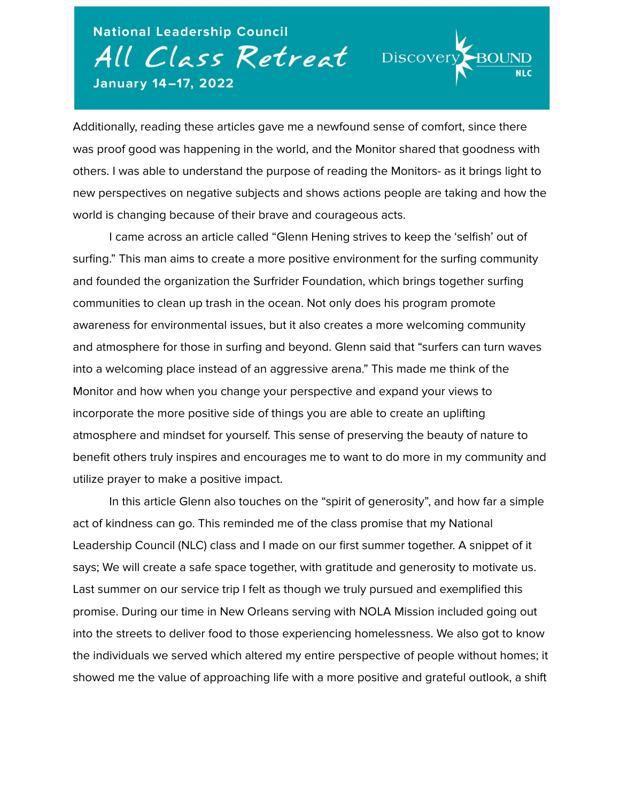**National Leadership Council** All Class Retreat Discover January 14-17, 2022

Additionally, reading these articles gave me a newfound sense of comfort, since there was proof good was happening in the world, and the Monitor shared that goodness with others. I was able to understand the purpose of reading the Monitors- as it brings light to new perspectives on negative subjects and shows actions people are taking and how the world is changing because of their brave and courageous acts.

I came across an article called "Glenn Hening strives to keep the 'selfish' out of surfing." This man aims to create a more positive environment for the surfing community and founded the organization the Surfrider Foundation, which brings together surfing communities to clean up trash in the ocean. Not only does his program promote awareness for environmental issues, but it also creates a more welcoming community and atmosphere for those in surfing and beyond. Glenn said that "surfers can turn waves into a welcoming place instead of an aggressive arena." This made me think of the Monitor and how when you change your perspective and expand your views to incorporate the more positive side of things you are able to create an uplifting atmosphere and mindset for yourself. This sense of preserving the beauty of nature to benefit others truly inspires and encourages me to want to do more in my community and utilize prayer to make a positive impact.

In this article Glenn also touches on the "spirit of generosity", and how far a simple act of kindness can go. This reminded me of the class promise that my National Leadership Council (NLC) class and I made on our first summer together. A snippet of it says; We will create a safe space together, with gratitude and generosity to motivate us. Last summer on our service trip I felt as though we truly pursued and exemplified this promise. During our time in New Orleans serving with NOLA Mission included going out into the streets to deliver food to those experiencing homelessness. We also got to know the individuals we served which altered my entire perspective of people without homes; it showed me the value of approaching life with a more positive and grateful outlook, a shift